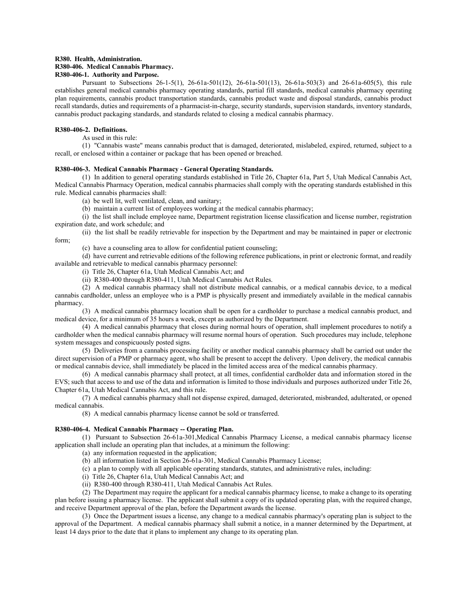#### **R380. Health, Administration. R380-406. Medical Cannabis Pharmacy.**

## **R380-406-1. Authority and Purpose.**

Pursuant to Subsections 26-1-5(1), 26-61a-501(12), 26-61a-501(13), 26-61a-503(3) and 26-61a-605(5), this rule establishes general medical cannabis pharmacy operating standards, partial fill standards, medical cannabis pharmacy operating plan requirements, cannabis product transportation standards, cannabis product waste and disposal standards, cannabis product recall standards, duties and requirements of a pharmacist-in-charge, security standards, supervision standards, inventory standards, cannabis product packaging standards, and standards related to closing a medical cannabis pharmacy.

# **R380-406-2. Definitions.**

As used in this rule:

(1) "Cannabis waste" means cannabis product that is damaged, deteriorated, mislabeled, expired, returned, subject to a recall, or enclosed within a container or package that has been opened or breached.

## **R380-406-3. Medical Cannabis Pharmacy - General Operating Standards.**

(1) In addition to general operating standards established in Title 26, Chapter 61a, Part 5, Utah Medical Cannabis Act, Medical Cannabis Pharmacy Operation, medical cannabis pharmacies shall comply with the operating standards established in this rule. Medical cannabis pharmacies shall:

(a) be well lit, well ventilated, clean, and sanitary;

(b) maintain a current list of employees working at the medical cannabis pharmacy;

(i) the list shall include employee name, Department registration license classification and license number, registration expiration date, and work schedule; and

(ii) the list shall be readily retrievable for inspection by the Department and may be maintained in paper or electronic form;

(c) have a counseling area to allow for confidential patient counseling;

(d) have current and retrievable editions of the following reference publications, in print or electronic format, and readily available and retrievable to medical cannabis pharmacy personnel:

(i) Title 26, Chapter 61a, Utah Medical Cannabis Act; and

(ii) R380-400 through R380-411, Utah Medical Cannabis Act Rules.

(2) A medical cannabis pharmacy shall not distribute medical cannabis, or a medical cannabis device, to a medical cannabis cardholder, unless an employee who is a PMP is physically present and immediately available in the medical cannabis pharmacy.

(3) A medical cannabis pharmacy location shall be open for a cardholder to purchase a medical cannabis product, and medical device, for a minimum of 35 hours a week, except as authorized by the Department.

(4) A medical cannabis pharmacy that closes during normal hours of operation, shall implement procedures to notify a cardholder when the medical cannabis pharmacy will resume normal hours of operation. Such procedures may include, telephone system messages and conspicuously posted signs.

(5) Deliveries from a cannabis processing facility or another medical cannabis pharmacy shall be carried out under the direct supervision of a PMP or pharmacy agent, who shall be present to accept the delivery. Upon delivery, the medical cannabis or medical cannabis device, shall immediately be placed in the limited access area of the medical cannabis pharmacy.

(6) A medical cannabis pharmacy shall protect, at all times, confidential cardholder data and information stored in the EVS; such that access to and use of the data and information is limited to those individuals and purposes authorized under Title 26, Chapter 61a, Utah Medical Cannabis Act, and this rule.

(7) A medical cannabis pharmacy shall not dispense expired, damaged, deteriorated, misbranded, adulterated, or opened medical cannabis.

(8) A medical cannabis pharmacy license cannot be sold or transferred.

#### **R380-406-4. Medical Cannabis Pharmacy -- Operating Plan.**

(1) Pursuant to Subsection 26-61a-301,Medical Cannabis Pharmacy License, a medical cannabis pharmacy license application shall include an operating plan that includes, at a minimum the following:

(a) any information requested in the application;

(b) all information listed in Section 26-61a-301, Medical Cannabis Pharmacy License;

- (c) a plan to comply with all applicable operating standards, statutes, and administrative rules, including:
- (i) Title 26, Chapter 61a, Utah Medical Cannabis Act; and
- (ii) R380-400 through R380-411, Utah Medical Cannabis Act Rules.

(2) The Department may require the applicant for a medical cannabis pharmacy license, to make a change to its operating plan before issuing a pharmacy license. The applicant shall submit a copy of its updated operating plan, with the required change, and receive Department approval of the plan, before the Department awards the license.

(3) Once the Department issues a license, any change to a medical cannabis pharmacy's operating plan is subject to the approval of the Department. A medical cannabis pharmacy shall submit a notice, in a manner determined by the Department, at least 14 days prior to the date that it plans to implement any change to its operating plan.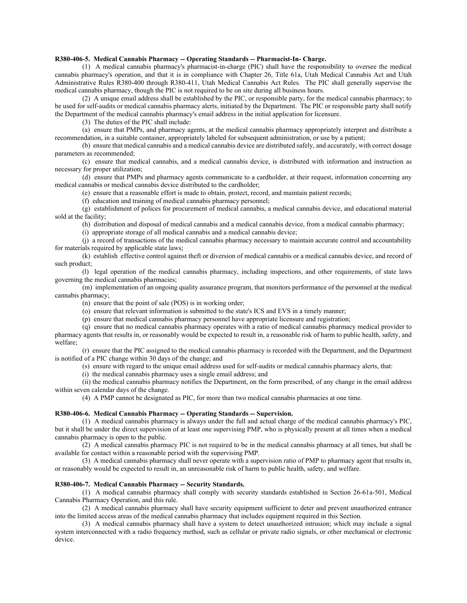## **R380-406-5. Medical Cannabis Pharmacy -- Operating Standards -- Pharmacist-In- Charge.**

(1) A medical cannabis pharmacy's pharmacist-in-charge (PIC) shall have the responsibility to oversee the medical cannabis pharmacy's operation, and that it is in compliance with Chapter 26, Title 61a, Utah Medical Cannabis Act and Utah Administrative Rules R380-400 through R380-411, Utah Medical Cannabis Act Rules. The PIC shall generally supervise the medical cannabis pharmacy, though the PIC is not required to be on site during all business hours.

(2) A unique email address shall be established by the PIC, or responsible party, for the medical cannabis pharmacy; to be used for self-audits or medical cannabis pharmacy alerts, initiated by the Department. The PIC or responsible party shall notify the Department of the medical cannabis pharmacy's email address in the initial application for licensure.

(3) The duties of the PIC shall include:

(a) ensure that PMPs, and pharmacy agents, at the medical cannabis pharmacy appropriately interpret and distribute a recommendation, in a suitable container, appropriately labeled for subsequent administration, or use by a patient;

(b) ensure that medical cannabis and a medical cannabis device are distributed safely, and accurately, with correct dosage parameters as recommended;

(c) ensure that medical cannabis, and a medical cannabis device, is distributed with information and instruction as necessary for proper utilization;

(d) ensure that PMPs and pharmacy agents communicate to a cardholder, at their request, information concerning any medical cannabis or medical cannabis device distributed to the cardholder;

(e) ensure that a reasonable effort is made to obtain, protect, record, and maintain patient records;

(f) education and training of medical cannabis pharmacy personnel;

(g) establishment of polices for procurement of medical cannabis, a medical cannabis device, and educational material sold at the facility;

(h) distribution and disposal of medical cannabis and a medical cannabis device, from a medical cannabis pharmacy;

(i) appropriate storage of all medical cannabis and a medical cannabis device;

(j) a record of transactions of the medical cannabis pharmacy necessary to maintain accurate control and accountability for materials required by applicable state laws;

(k) establish effective control against theft or diversion of medical cannabis or a medical cannabis device, and record of such product;

(l) legal operation of the medical cannabis pharmacy, including inspections, and other requirements, of state laws governing the medical cannabis pharmacies;

(m) implementation of an ongoing quality assurance program, that monitors performance of the personnel at the medical cannabis pharmacy;

(n) ensure that the point of sale (POS) is in working order;

(o) ensure that relevant information is submitted to the state's ICS and EVS in a timely manner;

(p) ensure that medical cannabis pharmacy personnel have appropriate licensure and registration;

(q) ensure that no medical cannabis pharmacy operates with a ratio of medical cannabis pharmacy medical provider to pharmacy agents that results in, or reasonably would be expected to result in, a reasonable risk of harm to public health, safety, and welfare;

(r) ensure that the PIC assigned to the medical cannabis pharmacy is recorded with the Department, and the Department is notified of a PIC change within 30 days of the change; and

(s) ensure with regard to the unique email address used for self-audits or medical cannabis pharmacy alerts, that:

(i) the medical cannabis pharmacy uses a single email address; and

(ii) the medical cannabis pharmacy notifies the Department, on the form prescribed, of any change in the email address within seven calendar days of the change.

(4) A PMP cannot be designated as PIC, for more than two medical cannabis pharmacies at one time.

## **R380-406-6. Medical Cannabis Pharmacy -- Operating Standards -- Supervision.**

(1) A medical cannabis pharmacy is always under the full and actual charge of the medical cannabis pharmacy's PIC, but it shall be under the direct supervision of at least one supervising PMP, who is physically present at all times when a medical cannabis pharmacy is open to the public.

(2) A medical cannabis pharmacy PIC is not required to be in the medical cannabis pharmacy at all times, but shall be available for contact within a reasonable period with the supervising PMP.

(3) A medical cannabis pharmacy shall never operate with a supervision ratio of PMP to pharmacy agent that results in, or reasonably would be expected to result in, an unreasonable risk of harm to public health, safety, and welfare.

#### **R380-406-7. Medical Cannabis Pharmacy -- Security Standards.**

(1) A medical cannabis pharmacy shall comply with security standards established in Section 26-61a-501, Medical Cannabis Pharmacy Operation, and this rule.

(2) A medical cannabis pharmacy shall have security equipment sufficient to deter and prevent unauthorized entrance into the limited access areas of the medical cannabis pharmacy that includes equipment required in this Section.

(3) A medical cannabis pharmacy shall have a system to detect unauthorized intrusion; which may include a signal system interconnected with a radio frequency method, such as cellular or private radio signals, or other mechanical or electronic device.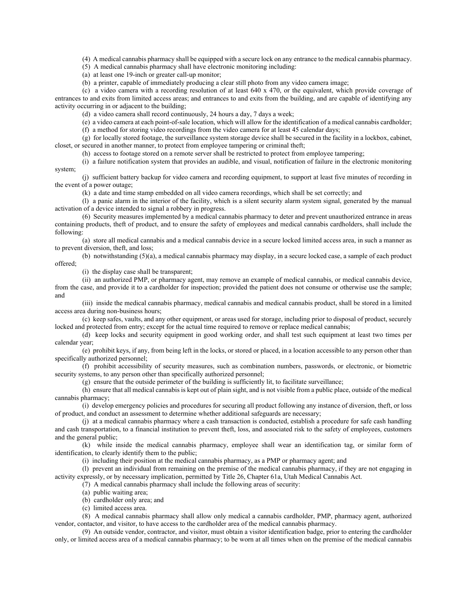(4) A medical cannabis pharmacy shall be equipped with a secure lock on any entrance to the medical cannabis pharmacy.

(5) A medical cannabis pharmacy shall have electronic monitoring including:

(a) at least one 19-inch or greater call-up monitor;

(b) a printer, capable of immediately producing a clear still photo from any video camera image;

(c) a video camera with a recording resolution of at least 640 x 470, or the equivalent, which provide coverage of entrances to and exits from limited access areas; and entrances to and exits from the building, and are capable of identifying any activity occurring in or adjacent to the building;

(d) a video camera shall record continuously, 24 hours a day, 7 days a week;

(e) a video camera at each point-of-sale location, which will allow for the identification of a medical cannabis cardholder;

(f) a method for storing video recordings from the video camera for at least 45 calendar days;

(g) for locally stored footage, the surveillance system storage device shall be secured in the facility in a lockbox, cabinet, closet, or secured in another manner, to protect from employee tampering or criminal theft;

(h) access to footage stored on a remote server shall be restricted to protect from employee tampering;

(i) a failure notification system that provides an audible, and visual, notification of failure in the electronic monitoring system;

(j) sufficient battery backup for video camera and recording equipment, to support at least five minutes of recording in the event of a power outage;

(k) a date and time stamp embedded on all video camera recordings, which shall be set correctly; and

(l) a panic alarm in the interior of the facility, which is a silent security alarm system signal, generated by the manual activation of a device intended to signal a robbery in progress.

(6) Security measures implemented by a medical cannabis pharmacy to deter and prevent unauthorized entrance in areas containing products, theft of product, and to ensure the safety of employees and medical cannabis cardholders, shall include the following:

(a) store all medical cannabis and a medical cannabis device in a secure locked limited access area, in such a manner as to prevent diversion, theft, and loss;

(b) notwithstanding (5)(a), a medical cannabis pharmacy may display, in a secure locked case, a sample of each product offered;

(i) the display case shall be transparent;

(ii) an authorized PMP, or pharmacy agent, may remove an example of medical cannabis, or medical cannabis device, from the case, and provide it to a cardholder for inspection; provided the patient does not consume or otherwise use the sample; and

(iii) inside the medical cannabis pharmacy, medical cannabis and medical cannabis product, shall be stored in a limited access area during non-business hours;

(c) keep safes, vaults, and any other equipment, or areas used for storage, including prior to disposal of product, securely locked and protected from entry; except for the actual time required to remove or replace medical cannabis;

(d) keep locks and security equipment in good working order, and shall test such equipment at least two times per calendar year;

(e) prohibit keys, if any, from being left in the locks, or stored or placed, in a location accessible to any person other than specifically authorized personnel;

(f) prohibit accessibility of security measures, such as combination numbers, passwords, or electronic, or biometric security systems, to any person other than specifically authorized personnel;

(g) ensure that the outside perimeter of the building is sufficiently lit, to facilitate surveillance;

(h) ensure that all medical cannabis is kept out of plain sight, and is not visible from a public place, outside of the medical cannabis pharmacy;

(i) develop emergency policies and procedures for securing all product following any instance of diversion, theft, or loss of product, and conduct an assessment to determine whether additional safeguards are necessary;

(j) at a medical cannabis pharmacy where a cash transaction is conducted, establish a procedure for safe cash handling and cash transportation, to a financial institution to prevent theft, loss, and associated risk to the safety of employees, customers and the general public;

(k) while inside the medical cannabis pharmacy, employee shall wear an identification tag, or similar form of identification, to clearly identify them to the public;

(i) including their position at the medical cannabis pharmacy, as a PMP or pharmacy agent; and

(l) prevent an individual from remaining on the premise of the medical cannabis pharmacy, if they are not engaging in activity expressly, or by necessary implication, permitted by Title 26, Chapter 61a, Utah Medical Cannabis Act.

(7) A medical cannabis pharmacy shall include the following areas of security:

- (a) public waiting area;
- (b) cardholder only area; and
- (c) limited access area.

(8) A medical cannabis pharmacy shall allow only medical a cannabis cardholder, PMP, pharmacy agent, authorized vendor, contactor, and visitor, to have access to the cardholder area of the medical cannabis pharmacy.

(9) An outside vendor, contractor, and visitor, must obtain a visitor identification badge, prior to entering the cardholder only, or limited access area of a medical cannabis pharmacy; to be worn at all times when on the premise of the medical cannabis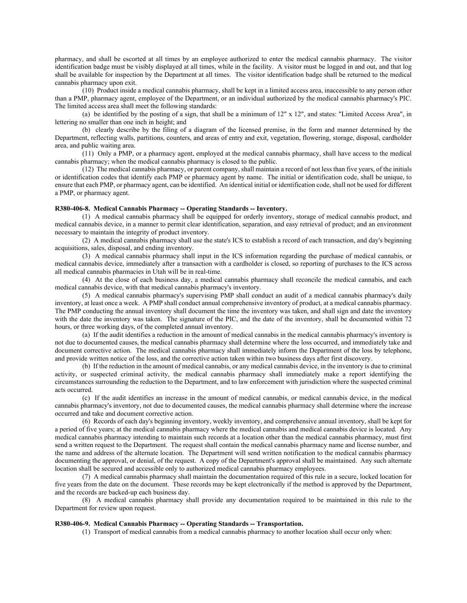pharmacy, and shall be escorted at all times by an employee authorized to enter the medical cannabis pharmacy. The visitor identification badge must be visibly displayed at all times, while in the facility. A visitor must be logged in and out, and that log shall be available for inspection by the Department at all times. The visitor identification badge shall be returned to the medical cannabis pharmacy upon exit.

(10) Product inside a medical cannabis pharmacy, shall be kept in a limited access area, inaccessible to any person other than a PMP, pharmacy agent, employee of the Department, or an individual authorized by the medical cannabis pharmacy's PIC. The limited access area shall meet the following standards:

(a) be identified by the posting of a sign, that shall be a minimum of 12" x 12", and states: "Limited Access Area", in lettering no smaller than one inch in height; and

(b) clearly describe by the filing of a diagram of the licensed premise, in the form and manner determined by the Department, reflecting walls, partitions, counters, and areas of entry and exit, vegetation, flowering, storage, disposal, cardholder area, and public waiting area.

(11) Only a PMP, or a pharmacy agent, employed at the medical cannabis pharmacy, shall have access to the medical cannabis pharmacy; when the medical cannabis pharmacy is closed to the public.

(12) The medical cannabis pharmacy, or parent company, shall maintain a record of not less than five years, of the initials or identification codes that identify each PMP or pharmacy agent by name. The initial or identification code, shall be unique, to ensure that each PMP, or pharmacy agent, can be identified. An identical initial or identification code, shall not be used for different a PMP, or pharmacy agent.

### **R380-406-8. Medical Cannabis Pharmacy -- Operating Standards -- Inventory.**

(1) A medical cannabis pharmacy shall be equipped for orderly inventory, storage of medical cannabis product, and medical cannabis device, in a manner to permit clear identification, separation, and easy retrieval of product; and an environment necessary to maintain the integrity of product inventory.

(2) A medical cannabis pharmacy shall use the state's ICS to establish a record of each transaction, and day's beginning acquisitions, sales, disposal, and ending inventory.

(3) A medical cannabis pharmacy shall input in the ICS information regarding the purchase of medical cannabis, or medical cannabis device, immediately after a transaction with a cardholder is closed, so reporting of purchases to the ICS across all medical cannabis pharmacies in Utah will be in real-time.

(4) At the close of each business day, a medical cannabis pharmacy shall reconcile the medical cannabis, and each medical cannabis device, with that medical cannabis pharmacy's inventory.

(5) A medical cannabis pharmacy's supervising PMP shall conduct an audit of a medical cannabis pharmacy's daily inventory, at least once a week. A PMP shall conduct annual comprehensive inventory of product, at a medical cannabis pharmacy. The PMP conducting the annual inventory shall document the time the inventory was taken, and shall sign and date the inventory with the date the inventory was taken. The signature of the PIC, and the date of the inventory, shall be documented within 72 hours, or three working days, of the completed annual inventory.

(a) If the audit identifies a reduction in the amount of medical cannabis in the medical cannabis pharmacy's inventory is not due to documented causes, the medical cannabis pharmacy shall determine where the loss occurred, and immediately take and document corrective action. The medical cannabis pharmacy shall immediately inform the Department of the loss by telephone, and provide written notice of the loss, and the corrective action taken within two business days after first discovery.

(b) If the reduction in the amount of medical cannabis, or any medical cannabis device, in the inventory is due to criminal activity, or suspected criminal activity, the medical cannabis pharmacy shall immediately make a report identifying the circumstances surrounding the reduction to the Department, and to law enforcement with jurisdiction where the suspected criminal acts occurred.

(c) If the audit identifies an increase in the amount of medical cannabis, or medical cannabis device, in the medical cannabis pharmacy's inventory, not due to documented causes, the medical cannabis pharmacy shall determine where the increase occurred and take and document corrective action.

(6) Records of each day's beginning inventory, weekly inventory, and comprehensive annual inventory, shall be kept for a period of five years; at the medical cannabis pharmacy where the medical cannabis and medical cannabis device is located. Any medical cannabis pharmacy intending to maintain such records at a location other than the medical cannabis pharmacy, must first send a written request to the Department. The request shall contain the medical cannabis pharmacy name and license number, and the name and address of the alternate location. The Department will send written notification to the medical cannabis pharmacy documenting the approval, or denial, of the request. A copy of the Department's approval shall be maintained. Any such alternate location shall be secured and accessible only to authorized medical cannabis pharmacy employees.

(7) A medical cannabis pharmacy shall maintain the documentation required of this rule in a secure, locked location for five years from the date on the document. These records may be kept electronically if the method is approved by the Department, and the records are backed-up each business day.

(8) A medical cannabis pharmacy shall provide any documentation required to be maintained in this rule to the Department for review upon request.

#### **R380-406-9. Medical Cannabis Pharmacy -- Operating Standards -- Transportation.**

(1) Transport of medical cannabis from a medical cannabis pharmacy to another location shall occur only when: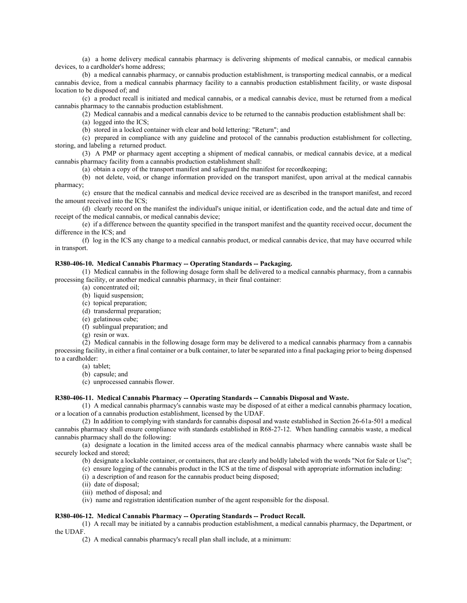(a) a home delivery medical cannabis pharmacy is delivering shipments of medical cannabis, or medical cannabis devices, to a cardholder's home address;

(b) a medical cannabis pharmacy, or cannabis production establishment, is transporting medical cannabis, or a medical cannabis device, from a medical cannabis pharmacy facility to a cannabis production establishment facility, or waste disposal location to be disposed of; and

(c) a product recall is initiated and medical cannabis, or a medical cannabis device, must be returned from a medical cannabis pharmacy to the cannabis production establishment.

(2) Medical cannabis and a medical cannabis device to be returned to the cannabis production establishment shall be:

(a) logged into the ICS;

(b) stored in a locked container with clear and bold lettering: "Return"; and

(c) prepared in compliance with any guideline and protocol of the cannabis production establishment for collecting, storing, and labeling a returned product.

(3) A PMP or pharmacy agent accepting a shipment of medical cannabis, or medical cannabis device, at a medical cannabis pharmacy facility from a cannabis production establishment shall:

(a) obtain a copy of the transport manifest and safeguard the manifest for recordkeeping;

(b) not delete, void, or change information provided on the transport manifest, upon arrival at the medical cannabis pharmacy;

(c) ensure that the medical cannabis and medical device received are as described in the transport manifest, and record the amount received into the ICS;

(d) clearly record on the manifest the individual's unique initial, or identification code, and the actual date and time of receipt of the medical cannabis, or medical cannabis device;

(e) if a difference between the quantity specified in the transport manifest and the quantity received occur, document the difference in the ICS; and

(f) log in the ICS any change to a medical cannabis product, or medical cannabis device, that may have occurred while in transport.

# **R380-406-10. Medical Cannabis Pharmacy -- Operating Standards -- Packaging.**

(1) Medical cannabis in the following dosage form shall be delivered to a medical cannabis pharmacy, from a cannabis processing facility, or another medical cannabis pharmacy, in their final container:

- (a) concentrated oil;
- (b) liquid suspension;
- (c) topical preparation;
- (d) transdermal preparation;
- (e) gelatinous cube;
- (f) sublingual preparation; and
- (g) resin or wax.

(2) Medical cannabis in the following dosage form may be delivered to a medical cannabis pharmacy from a cannabis processing facility, in either a final container or a bulk container, to later be separated into a final packaging prior to being dispensed to a cardholder:

- (a) tablet;
- (b) capsule; and
- (c) unprocessed cannabis flower.

# **R380-406-11. Medical Cannabis Pharmacy -- Operating Standards -- Cannabis Disposal and Waste.**

(1) A medical cannabis pharmacy's cannabis waste may be disposed of at either a medical cannabis pharmacy location, or a location of a cannabis production establishment, licensed by the UDAF.

(2) In addition to complying with standards for cannabis disposal and waste established in Section 26-61a-501 a medical cannabis pharmacy shall ensure compliance with standards established in R68-27-12. When handling cannabis waste, a medical cannabis pharmacy shall do the following:

(a) designate a location in the limited access area of the medical cannabis pharmacy where cannabis waste shall be securely locked and stored;

(b) designate a lockable container, or containers, that are clearly and boldly labeled with the words "Not for Sale or Use";

(c) ensure logging of the cannabis product in the ICS at the time of disposal with appropriate information including:

(i) a description of and reason for the cannabis product being disposed;

- (ii) date of disposal;
- (iii) method of disposal; and
- (iv) name and registration identification number of the agent responsible for the disposal.

#### **R380-406-12. Medical Cannabis Pharmacy -- Operating Standards -- Product Recall.**

(1) A recall may be initiated by a cannabis production establishment, a medical cannabis pharmacy, the Department, or the UDAF.

(2) A medical cannabis pharmacy's recall plan shall include, at a minimum: